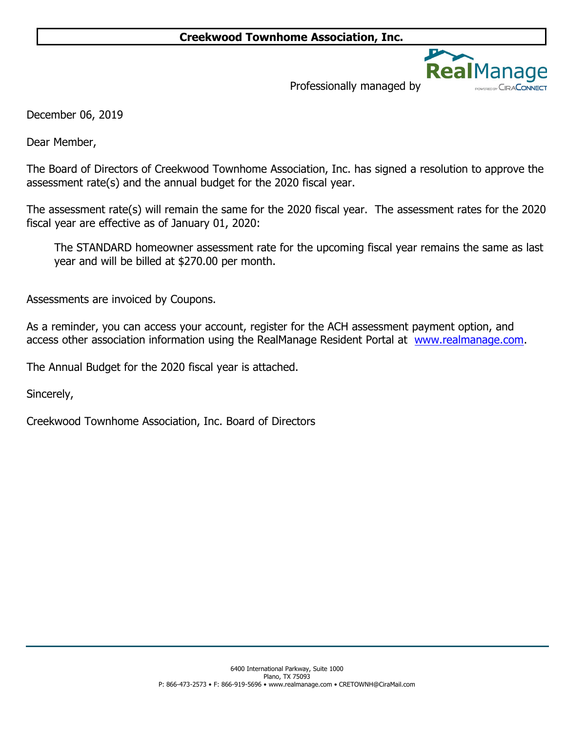

Professionally managed by

December 06, 2019

Dear Member,

The Board of Directors of Creekwood Townhome Association, Inc. has signed a resolution to approve the assessment rate(s) and the annual budget for the 2020 fiscal year.

The assessment rate(s) will remain the same for the 2020 fiscal year. The assessment rates for the 2020 fiscal year are effective as of January 01, 2020:

The STANDARD homeowner assessment rate for the upcoming fiscal year remains the same as last year and will be billed at \$270.00 per month.

Assessments are invoiced by Coupons.

As a reminder, you can access your account, register for the ACH assessment payment option, and access other association information using the RealManage Resident Portal at www.realmanage.com.

The Annual Budget for the 2020 fiscal year is attached.

Sincerely,

Creekwood Townhome Association, Inc. Board of Directors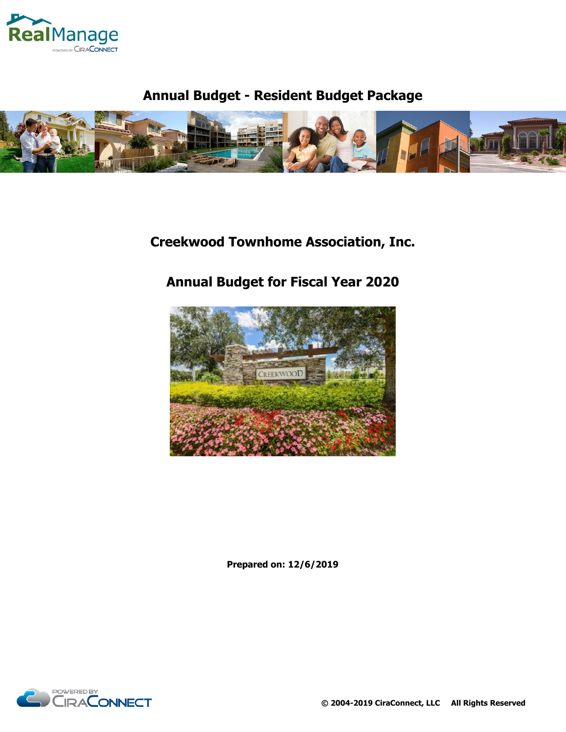

# **Annual Budget - Resident Budget Package**



# **Creekwood Townhome Association, Inc.**

# **Annual Budget for Fiscal Year 2020**



**Prepared on: 12/6/2019**

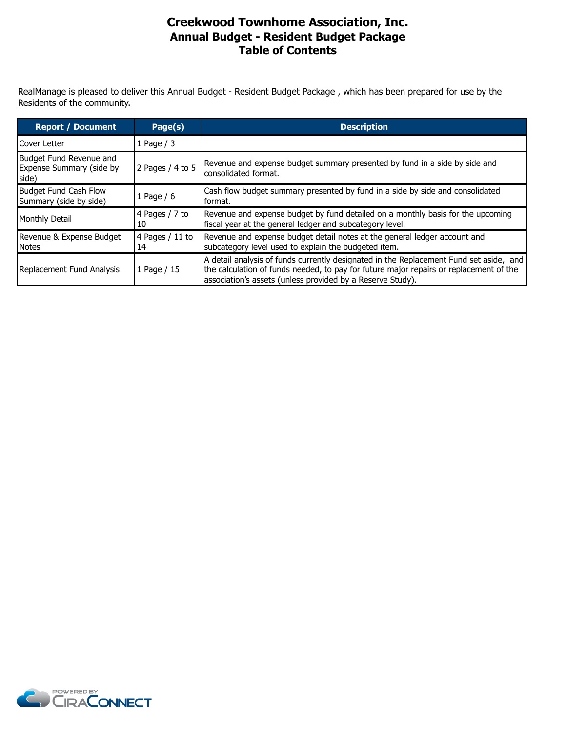### **Annual Budget - Resident Budget Package Table of Contents Creekwood Townhome Association, Inc.**

RealManage is pleased to deliver this Annual Budget - Resident Budget Package , which has been prepared for use by the Residents of the community.

| <b>Report / Document</b>                                     | Page(s)                | <b>Description</b>                                                                                                                                                                                                                             |
|--------------------------------------------------------------|------------------------|------------------------------------------------------------------------------------------------------------------------------------------------------------------------------------------------------------------------------------------------|
| l Cover Letter                                               | 1 Page $/$ 3           |                                                                                                                                                                                                                                                |
| Budget Fund Revenue and<br>Expense Summary (side by<br>side) | 2 Pages / 4 to 5       | Revenue and expense budget summary presented by fund in a side by side and<br>consolidated format.                                                                                                                                             |
| Budget Fund Cash Flow<br>Summary (side by side)              | 1 Page $/ 6$           | Cash flow budget summary presented by fund in a side by side and consolidated<br>format.                                                                                                                                                       |
| Monthly Detail                                               | 4 Pages / 7 to<br>10   | Revenue and expense budget by fund detailed on a monthly basis for the upcoming<br>fiscal year at the general ledger and subcategory level.                                                                                                    |
| Revenue & Expense Budget<br><b>Notes</b>                     | 4 Pages $/11$ to<br>14 | Revenue and expense budget detail notes at the general ledger account and<br>subcategory level used to explain the budgeted item.                                                                                                              |
| Replacement Fund Analysis                                    | 1 Page / 15            | A detail analysis of funds currently designated in the Replacement Fund set aside, and<br>the calculation of funds needed, to pay for future major repairs or replacement of the<br>association's assets (unless provided by a Reserve Study). |

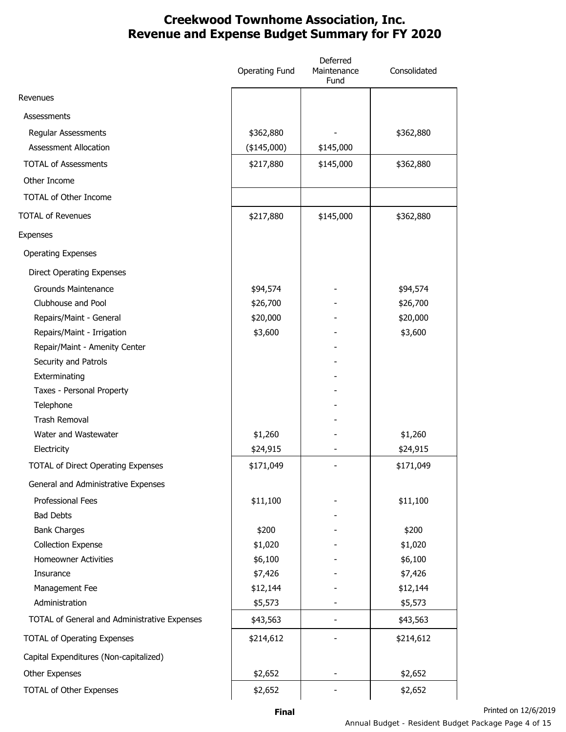## **Creekwood Townhome Association, Inc. Revenue and Expense Budget Summary for FY 2020**

|                                              | <b>Operating Fund</b> | Deferred<br>Maintenance<br>Fund | Consolidated |
|----------------------------------------------|-----------------------|---------------------------------|--------------|
| Revenues                                     |                       |                                 |              |
| Assessments                                  |                       |                                 |              |
| Regular Assessments                          | \$362,880             |                                 | \$362,880    |
| <b>Assessment Allocation</b>                 | $(*145,000)$          | \$145,000                       |              |
| <b>TOTAL of Assessments</b>                  | \$217,880             | \$145,000                       | \$362,880    |
| Other Income                                 |                       |                                 |              |
| <b>TOTAL of Other Income</b>                 |                       |                                 |              |
| <b>TOTAL of Revenues</b>                     | \$217,880             | \$145,000                       | \$362,880    |
| Expenses                                     |                       |                                 |              |
| <b>Operating Expenses</b>                    |                       |                                 |              |
| <b>Direct Operating Expenses</b>             |                       |                                 |              |
| <b>Grounds Maintenance</b>                   | \$94,574              |                                 | \$94,574     |
| Clubhouse and Pool                           | \$26,700              |                                 | \$26,700     |
| Repairs/Maint - General                      | \$20,000              |                                 | \$20,000     |
| Repairs/Maint - Irrigation                   | \$3,600               |                                 | \$3,600      |
| Repair/Maint - Amenity Center                |                       |                                 |              |
| Security and Patrols                         |                       |                                 |              |
| Exterminating                                |                       |                                 |              |
| Taxes - Personal Property                    |                       |                                 |              |
| Telephone                                    |                       |                                 |              |
| <b>Trash Removal</b>                         |                       |                                 |              |
| Water and Wastewater                         | \$1,260               |                                 | \$1,260      |
| Electricity                                  | \$24,915              |                                 | \$24,915     |
| <b>TOTAL of Direct Operating Expenses</b>    | \$171,049             |                                 | \$171,049    |
| General and Administrative Expenses          |                       |                                 |              |
| <b>Professional Fees</b>                     | \$11,100              |                                 | \$11,100     |
| <b>Bad Debts</b>                             |                       |                                 |              |
| <b>Bank Charges</b>                          | \$200                 |                                 | \$200        |
| <b>Collection Expense</b>                    | \$1,020               |                                 | \$1,020      |
| <b>Homeowner Activities</b>                  | \$6,100               |                                 | \$6,100      |
| Insurance                                    | \$7,426               |                                 | \$7,426      |
| Management Fee                               | \$12,144              |                                 | \$12,144     |
| Administration                               | \$5,573               |                                 | \$5,573      |
| TOTAL of General and Administrative Expenses | \$43,563              |                                 | \$43,563     |
| <b>TOTAL of Operating Expenses</b>           | \$214,612             |                                 | \$214,612    |
| Capital Expenditures (Non-capitalized)       |                       |                                 |              |
| Other Expenses                               | \$2,652               |                                 | \$2,652      |
| <b>TOTAL of Other Expenses</b>               | \$2,652               |                                 | \$2,652      |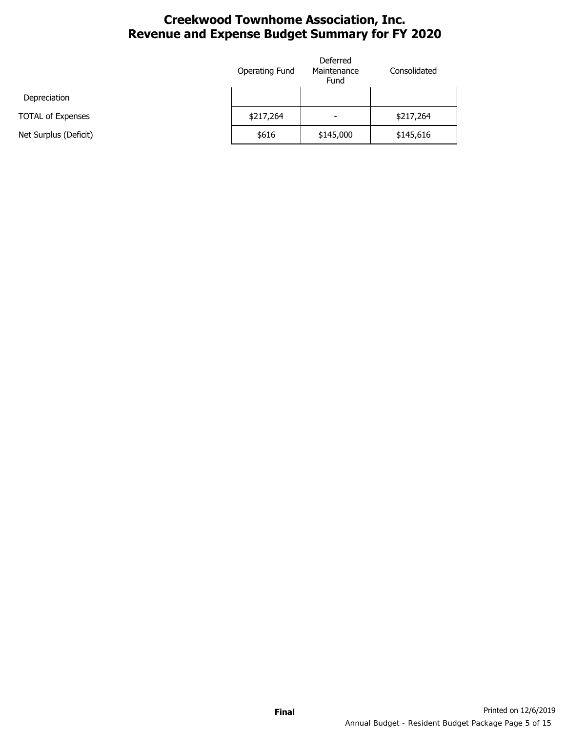## **Creekwood Townhome Association, Inc. Revenue and Expense Budget Summary for FY 2020**

|                          | Operating Fund | Deferred<br>Maintenance<br>Fund | Consolidated |
|--------------------------|----------------|---------------------------------|--------------|
| Depreciation             |                |                                 |              |
| <b>TOTAL of Expenses</b> | \$217,264      | $\overline{\phantom{0}}$        | \$217,264    |
| Net Surplus (Deficit)    | \$616          | \$145,000                       | \$145,616    |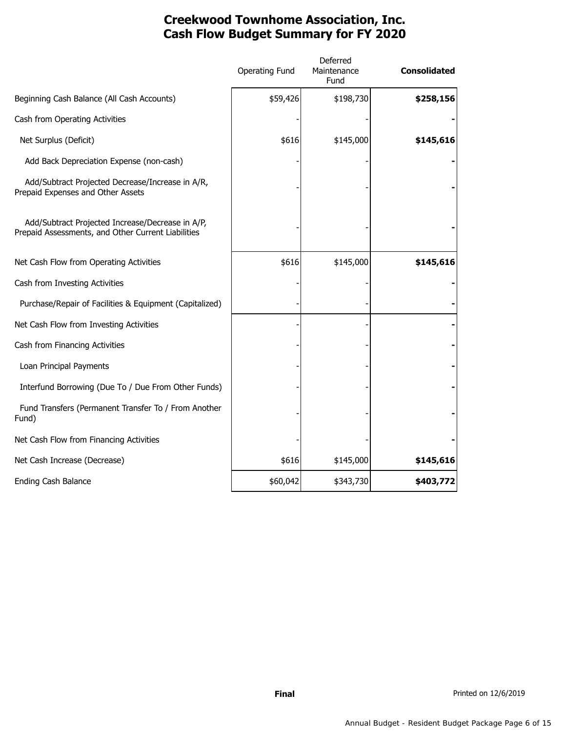## **Creekwood Townhome Association, Inc. Cash Flow Budget Summary for FY 2020**

|                                                                                                        | <b>Operating Fund</b> | Deferred<br>Maintenance<br>Fund | <b>Consolidated</b> |
|--------------------------------------------------------------------------------------------------------|-----------------------|---------------------------------|---------------------|
| Beginning Cash Balance (All Cash Accounts)                                                             | \$59,426              | \$198,730                       | \$258,156           |
| Cash from Operating Activities                                                                         |                       |                                 |                     |
| Net Surplus (Deficit)                                                                                  | \$616                 | \$145,000                       | \$145,616           |
| Add Back Depreciation Expense (non-cash)                                                               |                       |                                 |                     |
| Add/Subtract Projected Decrease/Increase in A/R,<br>Prepaid Expenses and Other Assets                  |                       |                                 |                     |
| Add/Subtract Projected Increase/Decrease in A/P,<br>Prepaid Assessments, and Other Current Liabilities |                       |                                 |                     |
| Net Cash Flow from Operating Activities                                                                | \$616                 | \$145,000                       | \$145,616           |
| Cash from Investing Activities                                                                         |                       |                                 |                     |
| Purchase/Repair of Facilities & Equipment (Capitalized)                                                |                       |                                 |                     |
| Net Cash Flow from Investing Activities                                                                |                       |                                 |                     |
| Cash from Financing Activities                                                                         |                       |                                 |                     |
| Loan Principal Payments                                                                                |                       |                                 |                     |
| Interfund Borrowing (Due To / Due From Other Funds)                                                    |                       |                                 |                     |
| Fund Transfers (Permanent Transfer To / From Another<br>Fund)                                          |                       |                                 |                     |
| Net Cash Flow from Financing Activities                                                                |                       |                                 |                     |
| Net Cash Increase (Decrease)                                                                           | \$616                 | \$145,000                       | \$145,616           |
| Ending Cash Balance                                                                                    | \$60,042              | \$343,730                       | \$403,772           |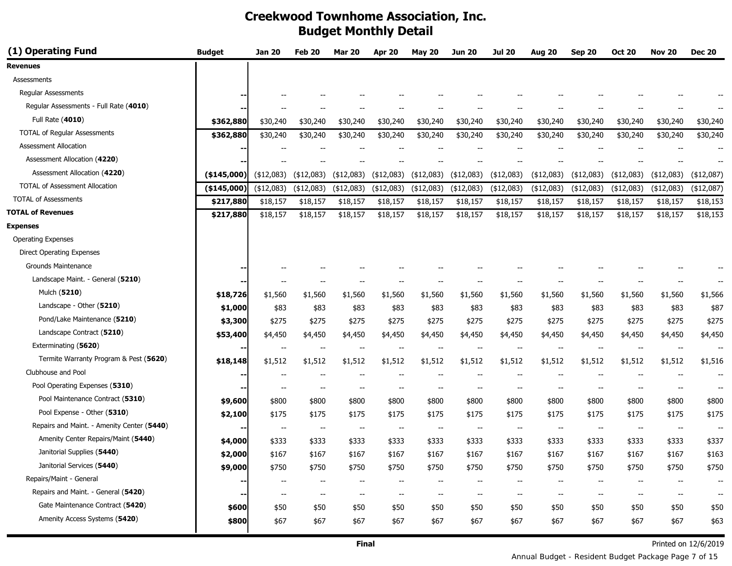| (1) Operating Fund                         | <b>Budget</b> | Jan 20                   | Feb 20                   | <b>Mar 20</b>            | <b>Apr 20</b>            | <b>May 20</b>            | Jun 20                   | Jul 20                   | <b>Aug 20</b>            | <b>Sep 20</b>            | <b>Oct 20</b>                         | <b>Nov 20</b>                                       | <b>Dec 20</b> |
|--------------------------------------------|---------------|--------------------------|--------------------------|--------------------------|--------------------------|--------------------------|--------------------------|--------------------------|--------------------------|--------------------------|---------------------------------------|-----------------------------------------------------|---------------|
| <b>Revenues</b>                            |               |                          |                          |                          |                          |                          |                          |                          |                          |                          |                                       |                                                     |               |
| <b>Assessments</b>                         |               |                          |                          |                          |                          |                          |                          |                          |                          |                          |                                       |                                                     |               |
| <b>Regular Assessments</b>                 |               |                          |                          |                          |                          |                          |                          |                          |                          |                          |                                       |                                                     |               |
| Regular Assessments - Full Rate (4010)     |               |                          |                          |                          |                          |                          |                          |                          |                          |                          |                                       |                                                     |               |
| Full Rate (4010)                           | \$362,880     | \$30,240                 | \$30,240                 | \$30,240                 | \$30,240                 | \$30,240                 | \$30,240                 | \$30,240                 | \$30,240                 | \$30,240                 | \$30,240                              | \$30,240                                            | \$30,240      |
| <b>TOTAL of Regular Assessments</b>        | \$362,880     | \$30,240                 | \$30,240                 | \$30,240                 | \$30,240                 | \$30,240                 | \$30,240                 | \$30,240                 | \$30,240                 | \$30,240                 | \$30,240                              | \$30,240                                            | \$30,240      |
| <b>Assessment Allocation</b>               |               |                          |                          |                          |                          |                          |                          | --                       |                          |                          |                                       |                                                     |               |
| Assessment Allocation (4220)               |               |                          |                          |                          |                          |                          |                          |                          |                          |                          |                                       |                                                     |               |
| Assessment Allocation (4220)               | ( \$145,000]  | (\$12,083)               | (\$12,083)               | (\$12,083)               | (\$12,083)               | (\$12,083)               | $(*12,083)$              | (\$12,083)               | $(*12,083)$              | (\$12,083)               | (\$12,083)                            | (\$12,083)                                          | (\$12,087)    |
| <b>TOTAL of Assessment Allocation</b>      | $(*145,000)$  | (\$12,083)               | (\$12,083)               | (\$12,083)               | $(*12,083)$              | (\$12,083)               | $(*12,083)$              | $(*12,083)$              | $(*12,083)$              | $(*12,083)$              | (\$12,083)                            | (\$12,083)                                          | (\$12,087)    |
| <b>TOTAL of Assessments</b>                | \$217,880     | \$18,157                 | \$18,157                 | \$18,157                 | \$18,157                 | \$18,157                 | \$18,157                 | \$18,157                 | \$18,157                 | \$18,157                 | \$18,157                              | \$18,157                                            | \$18,153      |
| <b>TOTAL of Revenues</b>                   | \$217,880     | \$18,157                 | \$18,157                 | \$18,157                 | \$18,157                 | \$18,157                 | \$18,157                 | \$18,157                 | \$18,157                 | \$18,157                 | \$18,157                              | \$18,157                                            | \$18,153      |
| <b>Expenses</b>                            |               |                          |                          |                          |                          |                          |                          |                          |                          |                          |                                       |                                                     |               |
| <b>Operating Expenses</b>                  |               |                          |                          |                          |                          |                          |                          |                          |                          |                          |                                       |                                                     |               |
| <b>Direct Operating Expenses</b>           |               |                          |                          |                          |                          |                          |                          |                          |                          |                          |                                       |                                                     |               |
| Grounds Maintenance                        |               |                          |                          |                          |                          |                          |                          |                          |                          |                          |                                       |                                                     |               |
| Landscape Maint. - General (5210)          |               | --                       |                          |                          |                          |                          |                          |                          |                          |                          |                                       |                                                     |               |
| Mulch (5210)                               | \$18,726      | \$1,560                  | \$1,560                  | \$1,560                  | \$1,560                  | \$1,560                  | \$1,560                  | \$1,560                  | \$1,560                  | \$1,560                  | \$1,560                               | \$1,560                                             | \$1,566       |
| Landscape - Other (5210)                   | \$1,000       | \$83                     | \$83                     | \$83                     | \$83                     | \$83                     | \$83                     | \$83                     | \$83                     | \$83                     | \$83                                  | \$83                                                | \$87          |
| Pond/Lake Maintenance (5210)               | \$3,300       | \$275                    | \$275                    | \$275                    | \$275                    | \$275                    | \$275                    | \$275                    | \$275                    | \$275                    | \$275                                 | \$275                                               | \$275         |
| Landscape Contract (5210)                  | \$53,400      | \$4,450                  | \$4,450                  | \$4,450                  | \$4,450                  | \$4,450                  | \$4,450                  | \$4,450                  | \$4,450                  | \$4,450                  | \$4,450                               | \$4,450                                             | \$4,450       |
| Exterminating (5620)                       |               | $\overline{\phantom{a}}$ | $\overline{\phantom{a}}$ | $\overline{\phantom{a}}$ | $-$                      | $\overline{\phantom{a}}$ | $\overline{\phantom{m}}$ | $-$                      | $\overline{\phantom{a}}$ | $\overline{\phantom{a}}$ | $\overline{\phantom{a}}$              | $\overline{\phantom{a}}$                            |               |
| Termite Warranty Program & Pest (5620)     | \$18,148      | \$1,512                  | \$1,512                  | \$1,512                  | \$1,512                  | \$1,512                  | \$1,512                  | \$1,512                  | \$1,512                  | \$1,512                  | \$1,512                               | \$1,512                                             | \$1,516       |
| Clubhouse and Pool                         |               | $\overline{\phantom{a}}$ | $\overline{\phantom{a}}$ | $-$                      |                          |                          |                          |                          |                          |                          | --                                    | $-$                                                 |               |
| Pool Operating Expenses (5310)             |               | $\overline{\phantom{a}}$ | $\overline{\phantom{a}}$ | $\overline{\phantom{a}}$ | --                       | --                       | $\overline{\phantom{m}}$ | $-$                      | $\overline{\phantom{a}}$ | $\overline{\phantom{a}}$ | $\hspace{0.05cm}$ – $\hspace{0.05cm}$ | $\overline{\phantom{a}}$                            |               |
| Pool Maintenance Contract (5310)           | \$9,600       | \$800                    | \$800                    | \$800                    | \$800                    | \$800                    | \$800                    | \$800                    | \$800                    | \$800                    | \$800                                 | \$800                                               | \$800         |
| Pool Expense - Other (5310)                | \$2,100       | \$175                    | \$175                    | \$175                    | \$175                    | \$175                    | \$175                    | \$175                    | \$175                    | \$175                    | \$175                                 | \$175                                               | \$175         |
| Repairs and Maint. - Amenity Center (5440) |               | $\overline{\phantom{a}}$ | $\overline{\phantom{a}}$ | $\overline{\phantom{a}}$ | $\overline{\phantom{a}}$ | --                       | $\hspace{0.05cm} \ldots$ | $-$                      | $\overline{\phantom{a}}$ | $\hspace{0.05cm} \ldots$ | $\overline{\phantom{a}}$              | $\hspace{0.05cm} -\hspace{0.05cm} -\hspace{0.05cm}$ | $-$           |
| Amenity Center Repairs/Maint (5440)        | \$4,000       | \$333                    | \$333                    | \$333                    | \$333                    | \$333                    | \$333                    | \$333                    | \$333                    | \$333                    | \$333                                 | \$333                                               | \$337         |
| Janitorial Supplies (5440)                 | \$2,000       | \$167                    | \$167                    | \$167                    | \$167                    | \$167                    | \$167                    | \$167                    | \$167                    | \$167                    | \$167                                 | \$167                                               | \$163         |
| Janitorial Services (5440)                 | \$9,000       | \$750                    | \$750                    | \$750                    | \$750                    | \$750                    | \$750                    | \$750                    | \$750                    | \$750                    | \$750                                 | \$750                                               | \$750         |
| Repairs/Maint - General                    |               | --                       | $\overline{\phantom{a}}$ | --                       | --                       | --                       | --                       | $\overline{\phantom{a}}$ | $\overline{\phantom{a}}$ | $\overline{\phantom{a}}$ | --                                    | $\overline{\phantom{a}}$                            | --            |
| Repairs and Maint. - General (5420)        |               | $\overline{\phantom{a}}$ | $\overline{\phantom{a}}$ |                          |                          | --                       | $\overline{\phantom{m}}$ | $\overline{\phantom{a}}$ | $\overline{\phantom{a}}$ | $\overline{\phantom{a}}$ | $\overline{\phantom{a}}$              | $\overline{\phantom{a}}$                            |               |
| Gate Maintenance Contract (5420)           | \$600         | \$50                     | \$50                     | \$50                     | \$50                     | \$50                     | \$50                     | \$50                     | \$50                     | \$50                     | \$50                                  | \$50                                                | \$50          |
| Amenity Access Systems (5420)              | \$800         | \$67                     | \$67                     | \$67                     | \$67                     | \$67                     | \$67                     | \$67                     | \$67                     | \$67                     | \$67                                  | \$67                                                | \$63          |

Annual Budget - Resident Budget Package Page 7 of 15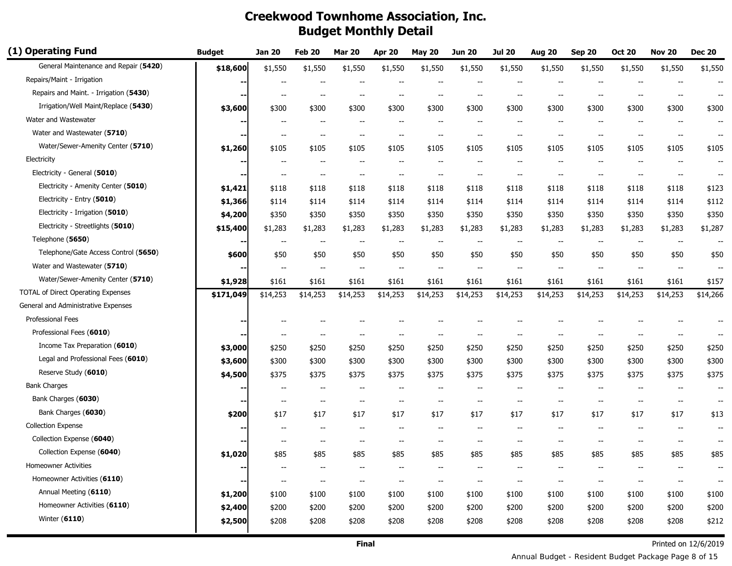| (1) Operating Fund                     | <b>Budget</b> | <b>Jan 20</b>            | <b>Feb 20</b>            | <b>Mar 20</b>            | <b>Apr 20</b>            | <b>May 20</b>            | <b>Jun 20</b>            | <b>Jul 20</b>            | <b>Aug 20</b>            | <b>Sep 20</b>                                       | <b>Oct 20</b>            | <b>Nov 20</b>                       | <b>Dec 20</b>            |
|----------------------------------------|---------------|--------------------------|--------------------------|--------------------------|--------------------------|--------------------------|--------------------------|--------------------------|--------------------------|-----------------------------------------------------|--------------------------|-------------------------------------|--------------------------|
| General Maintenance and Repair (5420)  | \$18,600      | \$1,550                  | \$1,550                  | \$1,550                  | \$1,550                  | \$1,550                  | \$1,550                  | \$1,550                  | \$1,550                  | \$1,550                                             | \$1,550                  | \$1,550                             | \$1,550                  |
| Repairs/Maint - Irrigation             | ۰.            |                          |                          |                          | --                       |                          |                          | $\overline{\phantom{a}}$ |                          |                                                     |                          |                                     |                          |
| Repairs and Maint. - Irrigation (5430) | --            | --                       | $-$                      | $\overline{\phantom{a}}$ | --                       | --                       | --                       | $\overline{\phantom{a}}$ | --                       | $\qquad \qquad -$                                   | $\overline{\phantom{a}}$ | $\overline{\phantom{a}}$            | --                       |
| Irrigation/Well Maint/Replace (5430)   | \$3,600       | \$300                    | \$300                    | \$300                    | \$300                    | \$300                    | \$300                    | \$300                    | \$300                    | \$300                                               | \$300                    | \$300                               | \$300                    |
| Water and Wastewater                   |               |                          |                          |                          |                          |                          |                          | $\overline{a}$           |                          |                                                     | $\overline{\phantom{a}}$ |                                     |                          |
| Water and Wastewater (5710)            |               |                          |                          |                          |                          |                          |                          | $\overline{a}$           |                          |                                                     |                          |                                     |                          |
| Water/Sewer-Amenity Center (5710)      | \$1,260       | \$105                    | \$105                    | \$105                    | \$105                    | \$105                    | \$105                    | \$105                    | \$105                    | \$105                                               | \$105                    | \$105                               | \$105                    |
| Electricity                            |               | $\hspace{0.05cm} \ldots$ | $\overline{\phantom{a}}$ | $-$                      | $\overline{\phantom{a}}$ | $-$                      | $\overline{\phantom{a}}$ | $\overline{\phantom{a}}$ | $\overline{\phantom{a}}$ | $\hspace{0.05cm} -\hspace{0.05cm} -\hspace{0.05cm}$ | $\overline{\phantom{a}}$ | $\overline{\phantom{a}}$            | $\overline{\phantom{a}}$ |
| Electricity - General (5010)           | --            | --                       | $-$                      | $-$                      | --                       |                          | $-$                      | $-$                      |                          | $-$                                                 | $\overline{\phantom{a}}$ | $\overline{a}$                      |                          |
| Electricity - Amenity Center (5010)    | \$1,421       | \$118                    | \$118                    | \$118                    | \$118                    | \$118                    | \$118                    | \$118                    | \$118                    | \$118                                               | \$118                    | \$118                               | \$123                    |
| Electricity - Entry (5010)             | \$1,366       | \$114                    | \$114                    | \$114                    | \$114                    | \$114                    | \$114                    | \$114                    | \$114                    | \$114                                               | \$114                    | \$114                               | \$112                    |
| Electricity - Irrigation (5010)        | \$4,200       | \$350                    | \$350                    | \$350                    | \$350                    | \$350                    | \$350                    | \$350                    | \$350                    | \$350                                               | \$350                    | \$350                               | \$350                    |
| Electricity - Streetlights (5010)      | \$15,400      | \$1,283                  | \$1,283                  | \$1,283                  | \$1,283                  | \$1,283                  | \$1,283                  | \$1,283                  | \$1,283                  | \$1,283                                             | \$1,283                  | \$1,283                             | \$1,287                  |
| Telephone (5650)                       | --            |                          |                          | --                       |                          |                          |                          |                          |                          | $\overline{\phantom{m}}$                            | $\overline{\phantom{a}}$ | --                                  |                          |
| Telephone/Gate Access Control (5650)   | \$600         | \$50                     | \$50                     | \$50                     | \$50                     | \$50                     | \$50                     | \$50                     | \$50                     | \$50                                                | \$50                     | \$50                                | \$50                     |
| Water and Wastewater (5710)            | ۰.            |                          |                          |                          |                          |                          |                          | $\overline{a}$           |                          |                                                     |                          |                                     |                          |
| Water/Sewer-Amenity Center (5710)      | \$1,928       | \$161                    | \$161                    | \$161                    | \$161                    | \$161                    | \$161                    | \$161                    | \$161                    | \$161                                               | \$161                    | \$161                               | \$157                    |
| TOTAL of Direct Operating Expenses     | \$171,049     | \$14,253                 | \$14,253                 | \$14,253                 | \$14,253                 | \$14,253                 | \$14,253                 | \$14,253                 | \$14,253                 | \$14,253                                            | \$14,253                 | \$14,253                            | \$14,266                 |
| General and Administrative Expenses    |               |                          |                          |                          |                          |                          |                          |                          |                          |                                                     |                          |                                     |                          |
| Professional Fees                      |               |                          |                          |                          |                          |                          |                          |                          |                          |                                                     |                          |                                     |                          |
| Professional Fees (6010)               |               |                          |                          |                          |                          |                          |                          |                          |                          |                                                     |                          |                                     |                          |
| Income Tax Preparation (6010)          | \$3,000       | \$250                    | \$250                    | \$250                    | \$250                    | \$250                    | \$250                    | \$250                    | \$250                    | \$250                                               | \$250                    | \$250                               | \$250                    |
| Legal and Professional Fees (6010)     | \$3,600       | \$300                    | \$300                    | \$300                    | \$300                    | \$300                    | \$300                    | \$300                    | \$300                    | \$300                                               | \$300                    | \$300                               | \$300                    |
| Reserve Study (6010)                   | \$4,500       | \$375                    | \$375                    | \$375                    | \$375                    | \$375                    | \$375                    | \$375                    | \$375                    | \$375                                               | \$375                    | \$375                               | \$375                    |
| <b>Bank Charges</b>                    |               | $\overline{\phantom{a}}$ | $\overline{\phantom{m}}$ | --                       | --                       |                          |                          |                          |                          |                                                     | $\overline{\phantom{a}}$ | --                                  |                          |
| Bank Charges (6030)                    |               | --                       | $\overline{\phantom{a}}$ | $\overline{\phantom{m}}$ | --                       |                          | $\overline{\phantom{a}}$ | $\overline{\phantom{m}}$ | $\overline{\phantom{a}}$ | $\hspace{0.05cm} -\hspace{0.05cm} -\hspace{0.05cm}$ | $\overline{\phantom{a}}$ | $\hspace{0.05cm}$ $\hspace{0.05cm}$ | $\overline{\phantom{a}}$ |
| Bank Charges (6030)                    | \$200         | \$17                     | \$17                     | \$17                     | \$17                     | \$17                     | \$17                     | \$17                     | \$17                     | \$17                                                | \$17                     | \$17                                | \$13                     |
| <b>Collection Expense</b>              |               | --                       | $\overline{\phantom{a}}$ | $\overline{\phantom{a}}$ | --                       | $\overline{\phantom{a}}$ | $-$                      | $\overline{\phantom{a}}$ | $\overline{\phantom{a}}$ | $\overline{\phantom{a}}$                            | $\overline{\phantom{a}}$ | $\overline{\phantom{a}}$            |                          |
| Collection Expense (6040)              |               |                          |                          |                          |                          |                          |                          |                          |                          |                                                     |                          |                                     |                          |
| Collection Expense (6040)              | \$1,020       | \$85                     | \$85                     | \$85                     | \$85                     | \$85                     | \$85                     | \$85                     | \$85                     | \$85                                                | \$85                     | \$85                                | \$85                     |
| <b>Homeowner Activities</b>            |               |                          |                          |                          |                          |                          |                          |                          |                          |                                                     |                          |                                     |                          |
| Homeowner Activities (6110)            | --1           | --                       | $\overline{\phantom{m}}$ | --                       | $\overline{\phantom{a}}$ | $\overline{\phantom{a}}$ | $\overline{\phantom{a}}$ | $\overline{\phantom{a}}$ | --                       | --                                                  | $\overline{\phantom{a}}$ | $\overline{\phantom{a}}$            |                          |
| Annual Meeting (6110)                  | \$1,200       | \$100                    | \$100                    | \$100                    | \$100                    | \$100                    | \$100                    | \$100                    | \$100                    | \$100                                               | \$100                    | \$100                               | \$100                    |
| Homeowner Activities (6110)            | \$2,400       | \$200                    | \$200                    | \$200                    | \$200                    | \$200                    | \$200                    | \$200                    | \$200                    | \$200                                               | \$200                    | \$200                               | \$200                    |
| Winter $(6110)$                        | \$2,500       | \$208                    | \$208                    | \$208                    | \$208                    | \$208                    | \$208                    | \$208                    | \$208                    | \$208                                               | \$208                    | \$208                               | \$212                    |
|                                        |               |                          |                          |                          |                          |                          |                          |                          |                          |                                                     |                          |                                     |                          |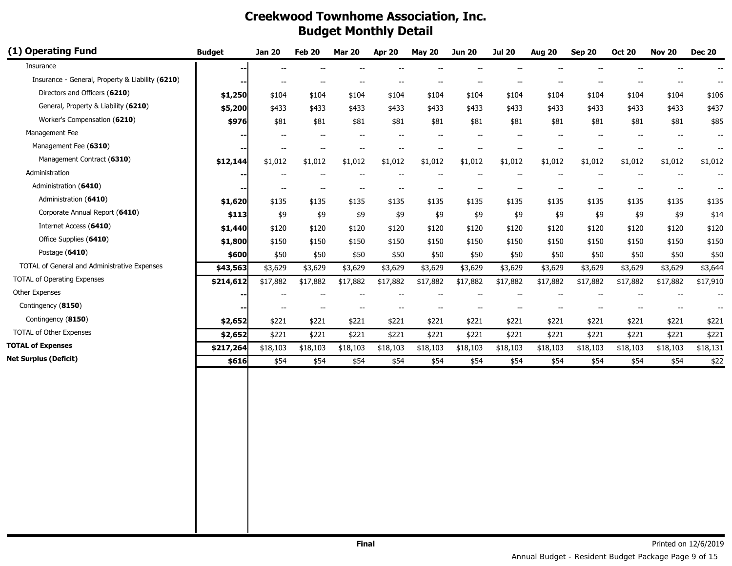| (1) Operating Fund                               | <b>Budget</b> | <b>Jan 20</b>            | Feb 20                   | <b>Mar 20</b>            | <b>Apr 20</b>                                       | <b>May 20</b>            | <b>Jun 20</b>            | <b>Jul 20</b>                                       | <b>Aug 20</b>            | <b>Sep 20</b>                         | <b>Oct 20</b>            | <b>Nov 20</b>                                       | <b>Dec 20</b>            |
|--------------------------------------------------|---------------|--------------------------|--------------------------|--------------------------|-----------------------------------------------------|--------------------------|--------------------------|-----------------------------------------------------|--------------------------|---------------------------------------|--------------------------|-----------------------------------------------------|--------------------------|
| Insurance                                        | --            | $\sim$                   |                          |                          |                                                     |                          |                          |                                                     |                          |                                       |                          |                                                     |                          |
| Insurance - General, Property & Liability (6210) | --            | $\overline{\phantom{m}}$ | --                       | $\overline{\phantom{m}}$ | $- -$                                               | $\overline{\phantom{m}}$ | $\overline{\phantom{a}}$ | $\overline{\phantom{a}}$                            | --                       | $\overline{\phantom{a}}$              | $\overline{\phantom{m}}$ | $\hspace{0.05cm}$ $\hspace{0.05cm}$                 | $\overline{\phantom{a}}$ |
| Directors and Officers (6210)                    | \$1,250       | \$104                    | \$104                    | \$104                    | \$104                                               | \$104                    | \$104                    | \$104                                               | \$104                    | \$104                                 | \$104                    | \$104                                               | \$106                    |
| General, Property & Liability (6210)             | \$5,200       | \$433                    | \$433                    | \$433                    | \$433                                               | \$433                    | \$433                    | \$433                                               | \$433                    | \$433                                 | \$433                    | \$433                                               | \$437                    |
| Worker's Compensation (6210)                     | \$976         | \$81                     | \$81                     | \$81                     | \$81                                                | \$81                     | \$81                     | \$81                                                | \$81                     | \$81                                  | \$81                     | \$81                                                | \$85                     |
| Management Fee                                   |               | $-$                      | $\overline{\phantom{a}}$ | $\overline{\phantom{a}}$ | $\hspace{0.05cm} -\hspace{0.05cm} -\hspace{0.05cm}$ | $\overline{\phantom{a}}$ | $\overline{\phantom{a}}$ | $-$                                                 | $\overline{\phantom{a}}$ | $\overline{\phantom{a}}$              | $-$                      | $-$                                                 | $\overline{\phantom{a}}$ |
| Management Fee (6310)                            | --            | $\overline{\phantom{a}}$ | $\overline{\phantom{a}}$ | $\overline{\phantom{a}}$ | --                                                  | $\overline{\phantom{a}}$ | $\overline{\phantom{a}}$ | $\overline{\phantom{a}}$                            | $\overline{a}$           |                                       |                          | $\overline{\phantom{a}}$                            | $\overline{\phantom{a}}$ |
| Management Contract (6310)                       | \$12,144      | \$1,012                  | \$1,012                  | \$1,012                  | \$1,012                                             | \$1,012                  | \$1,012                  | \$1,012                                             | \$1,012                  | \$1,012                               | \$1,012                  | \$1,012                                             | \$1,012                  |
| Administration                                   | --            |                          |                          |                          |                                                     | $-$                      | $\overline{\phantom{a}}$ | $\overline{a}$                                      |                          |                                       |                          |                                                     |                          |
| Administration (6410)                            | --            | $-\!$                    | --                       | $\overline{\phantom{m}}$ | $- -$                                               | $\overline{\phantom{a}}$ | $\overline{\phantom{a}}$ | $\hspace{0.05cm} -\hspace{0.05cm} -\hspace{0.05cm}$ | $\overline{\phantom{a}}$ | $\hspace{0.05cm}$ - $\hspace{0.05cm}$ | $\overline{\phantom{a}}$ | $\hspace{0.05cm} -\hspace{0.05cm} -\hspace{0.05cm}$ | $\overline{\phantom{a}}$ |
| Administration (6410)                            | \$1,620       | \$135                    | \$135                    | \$135                    | \$135                                               | \$135                    | \$135                    | \$135                                               | \$135                    | \$135                                 | \$135                    | \$135                                               | \$135                    |
| Corporate Annual Report (6410)                   | \$113         | \$9                      | \$9                      | \$9                      | \$9                                                 | \$9                      | \$9                      | \$9                                                 | \$9                      | \$9                                   | \$9                      | \$9                                                 | \$14                     |
| Internet Access (6410)                           | \$1,440       | \$120                    | \$120                    | \$120                    | \$120                                               | \$120                    | \$120                    | \$120                                               | \$120                    | \$120                                 | \$120                    | \$120                                               | \$120                    |
| Office Supplies (6410)                           | \$1,800       | \$150                    | \$150                    | \$150                    | \$150                                               | \$150                    | \$150                    | \$150                                               | \$150                    | \$150                                 | \$150                    | \$150                                               | \$150                    |
| Postage (6410)                                   | \$600         | \$50                     | \$50                     | \$50                     | \$50                                                | \$50                     | \$50                     | \$50                                                | \$50                     | \$50                                  | \$50                     | \$50                                                | \$50                     |
| TOTAL of General and Administrative Expenses     | \$43,563      | \$3,629                  | \$3,629                  | \$3,629                  | \$3,629                                             | \$3,629                  | \$3,629                  | \$3,629                                             | \$3,629                  | \$3,629                               | \$3,629                  | \$3,629                                             | \$3,644                  |
| <b>TOTAL of Operating Expenses</b>               | \$214,612     | \$17,882                 | \$17,882                 | \$17,882                 | \$17,882                                            | \$17,882                 | \$17,882                 | \$17,882                                            | \$17,882                 | \$17,882                              | \$17,882                 | \$17,882                                            | \$17,910                 |
| Other Expenses                                   |               | $\overline{\phantom{a}}$ | $\overline{\phantom{a}}$ | $\overline{\phantom{a}}$ | $\overline{a}$                                      | $\overline{\phantom{a}}$ | $\overline{\phantom{a}}$ | $-$                                                 | $\overline{a}$           |                                       |                          | --                                                  |                          |
| Contingency (8150)                               | -−            |                          | $\overline{\phantom{a}}$ | $\overline{\phantom{a}}$ | $\overline{\phantom{a}}$                            | $\overline{\phantom{a}}$ | $\overline{\phantom{a}}$ | $-$                                                 | $-$                      |                                       |                          | $\overline{\phantom{a}}$                            | $\overline{\phantom{a}}$ |
| Contingency (8150)                               | \$2,652       | \$221                    | \$221                    | \$221                    | \$221                                               | \$221                    | \$221                    | \$221                                               | \$221                    | \$221                                 | \$221                    | \$221                                               | \$221                    |
| TOTAL of Other Expenses                          | \$2,652       | \$221                    | \$221                    | \$221                    | \$221                                               | \$221                    | \$221                    | \$221                                               | \$221                    | \$221                                 | \$221                    | \$221                                               | \$221                    |
| <b>TOTAL of Expenses</b>                         | \$217,264     | \$18,103                 | \$18,103                 | \$18,103                 | \$18,103                                            | \$18,103                 | \$18,103                 | \$18,103                                            | \$18,103                 | \$18,103                              | \$18,103                 | \$18,103                                            | \$18,131                 |
| <b>Net Surplus (Deficit)</b>                     | \$616         | \$54                     | \$54                     | \$54                     | \$54                                                | \$54                     | \$54                     | \$54                                                | \$54                     | \$54                                  | \$54                     | \$54                                                | \$22                     |
|                                                  |               |                          |                          |                          |                                                     |                          |                          |                                                     |                          |                                       |                          |                                                     |                          |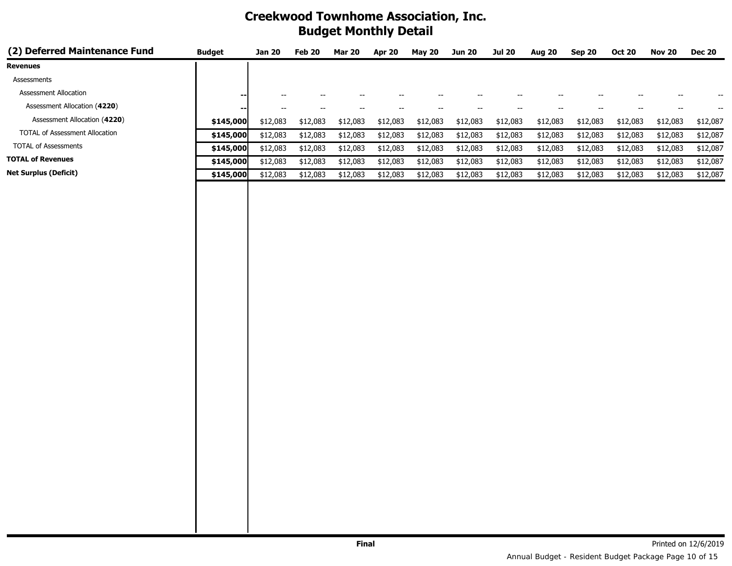| (2) Deferred Maintenance Fund  | <b>Budget</b>            | <b>Jan 20</b>                                       | Feb 20                   | <b>Mar 20</b>            | <b>Apr 20</b> | <b>May 20</b>            | <b>Jun 20</b>            | <b>Jul 20</b>            | <b>Aug 20</b>            | <b>Sep 20</b>                         | <b>Oct 20</b>            | <b>Nov 20</b>            | <b>Dec 20</b>            |
|--------------------------------|--------------------------|-----------------------------------------------------|--------------------------|--------------------------|---------------|--------------------------|--------------------------|--------------------------|--------------------------|---------------------------------------|--------------------------|--------------------------|--------------------------|
| <b>Revenues</b>                |                          |                                                     |                          |                          |               |                          |                          |                          |                          |                                       |                          |                          |                          |
| Assessments                    |                          |                                                     |                          |                          |               |                          |                          |                          |                          |                                       |                          |                          |                          |
| Assessment Allocation          | --                       | $- -$                                               | $\overline{\phantom{a}}$ | $\overline{\phantom{a}}$ | --            | $\overline{\phantom{a}}$ | $\overline{\phantom{a}}$ | $\overline{\phantom{a}}$ | $\overline{\phantom{a}}$ | $\overline{\phantom{a}}$              | $\overline{\phantom{a}}$ | $\overline{\phantom{a}}$ | $\overline{\phantom{a}}$ |
| Assessment Allocation (4220)   | $\overline{\phantom{a}}$ | $\hspace{0.05cm} -\hspace{0.05cm} -\hspace{0.05cm}$ | $\overline{\phantom{m}}$ | $\overline{\phantom{m}}$ | --            | $\overline{\phantom{a}}$ | $\overline{\phantom{a}}$ | $\overline{\phantom{a}}$ | $\overline{\phantom{a}}$ | $\hspace{0.05cm}$ – $\hspace{0.05cm}$ | $\overline{\phantom{a}}$ | --                       | --                       |
| Assessment Allocation (4220)   | \$145,000                | \$12,083                                            | \$12,083                 | \$12,083                 | \$12,083      | \$12,083                 | \$12,083                 | \$12,083                 | \$12,083                 | \$12,083                              | \$12,083                 | \$12,083                 | \$12,087                 |
| TOTAL of Assessment Allocation | \$145,000                | \$12,083                                            | \$12,083                 | \$12,083                 | \$12,083      | \$12,083                 | \$12,083                 | \$12,083                 | \$12,083                 | \$12,083                              | \$12,083                 | \$12,083                 | \$12,087                 |
| <b>TOTAL of Assessments</b>    | \$145,000                | \$12,083                                            | \$12,083                 | \$12,083                 | \$12,083      | \$12,083                 | \$12,083                 | \$12,083                 | \$12,083                 | \$12,083                              | \$12,083                 | \$12,083                 | \$12,087                 |
| <b>TOTAL of Revenues</b>       | \$145,000                | \$12,083                                            | \$12,083                 | \$12,083                 | \$12,083      | \$12,083                 | \$12,083                 | \$12,083                 | \$12,083                 | \$12,083                              | \$12,083                 | \$12,083                 | \$12,087                 |
| <b>Net Surplus (Deficit)</b>   | \$145,000                | \$12,083                                            | \$12,083                 | \$12,083                 | \$12,083      | \$12,083                 | \$12,083                 | \$12,083                 | \$12,083                 | \$12,083                              | \$12,083                 | \$12,083                 | \$12,087                 |
|                                |                          |                                                     |                          |                          |               |                          |                          |                          |                          |                                       |                          |                          |                          |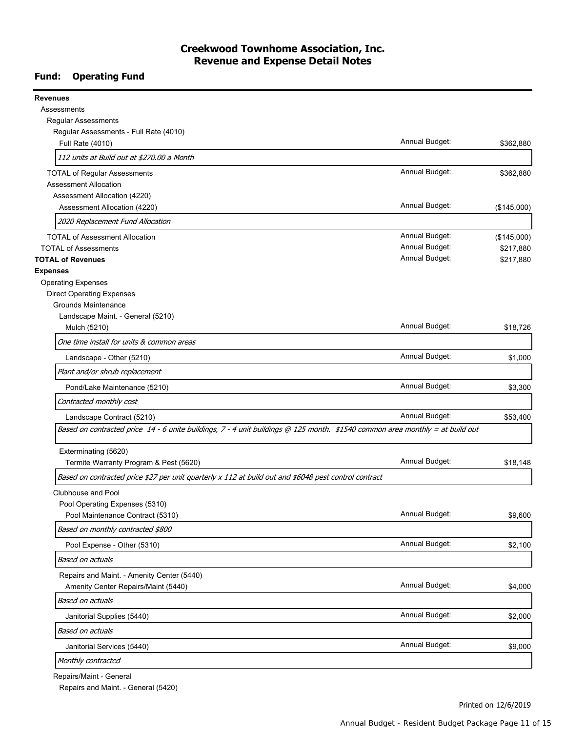#### **Creekwood Townhome Association, Inc. Revenue and Expense Detail Notes**

### **Fund: Operating Fund**

| <b>Revenues</b>                                                                                                               |                |             |
|-------------------------------------------------------------------------------------------------------------------------------|----------------|-------------|
| Assessments                                                                                                                   |                |             |
| <b>Regular Assessments</b>                                                                                                    |                |             |
| Regular Assessments - Full Rate (4010)                                                                                        |                |             |
| Full Rate (4010)                                                                                                              | Annual Budget: | \$362,880   |
| 112 units at Build out at \$270.00 a Month                                                                                    |                |             |
| <b>TOTAL of Regular Assessments</b>                                                                                           | Annual Budget: | \$362,880   |
| <b>Assessment Allocation</b>                                                                                                  |                |             |
| Assessment Allocation (4220)                                                                                                  |                |             |
| Assessment Allocation (4220)                                                                                                  | Annual Budget: | (\$145,000) |
| 2020 Replacement Fund Allocation                                                                                              |                |             |
| <b>TOTAL of Assessment Allocation</b>                                                                                         | Annual Budget: | (\$145,000) |
| <b>TOTAL of Assessments</b>                                                                                                   | Annual Budget: | \$217,880   |
| <b>TOTAL of Revenues</b>                                                                                                      | Annual Budget: | \$217,880   |
| <b>Expenses</b>                                                                                                               |                |             |
| <b>Operating Expenses</b>                                                                                                     |                |             |
| <b>Direct Operating Expenses</b>                                                                                              |                |             |
| <b>Grounds Maintenance</b>                                                                                                    |                |             |
| Landscape Maint. - General (5210)                                                                                             |                |             |
| Mulch (5210)                                                                                                                  | Annual Budget: | \$18,726    |
| One time install for units & common areas                                                                                     |                |             |
| Landscape - Other (5210)                                                                                                      | Annual Budget: | \$1,000     |
| Plant and/or shrub replacement                                                                                                |                |             |
| Pond/Lake Maintenance (5210)                                                                                                  | Annual Budget: | \$3,300     |
| Contracted monthly cost                                                                                                       |                |             |
| Landscape Contract (5210)                                                                                                     | Annual Budget: | \$53,400    |
| Based on contracted price 14 - 6 unite buildings, 7 - 4 unit buildings @ 125 month. \$1540 common area monthly = at build out |                |             |
| Exterminating (5620)                                                                                                          |                |             |
| Termite Warranty Program & Pest (5620)                                                                                        | Annual Budget: | \$18,148    |
| Based on contracted price \$27 per unit quarterly x 112 at build out and \$6048 pest control contract                         |                |             |
| Clubhouse and Pool                                                                                                            |                |             |
| Pool Operating Expenses (5310)                                                                                                |                |             |
| Pool Maintenance Contract (5310)                                                                                              | Annual Budget: | \$9,600     |
| Based on monthly contracted \$800                                                                                             |                |             |
| Pool Expense - Other (5310)                                                                                                   | Annual Budget: | \$2,100     |
| Based on actuals                                                                                                              |                |             |
| Repairs and Maint. - Amenity Center (5440)                                                                                    |                |             |
| Amenity Center Repairs/Maint (5440)                                                                                           | Annual Budget: | \$4,000     |
| Based on actuals                                                                                                              |                |             |
| Janitorial Supplies (5440)                                                                                                    | Annual Budget: | \$2,000     |
| Based on actuals                                                                                                              |                |             |
| Janitorial Services (5440)                                                                                                    | Annual Budget: | \$9,000     |
| Monthly contracted                                                                                                            |                |             |
|                                                                                                                               |                |             |

Repairs/Maint - General

Repairs and Maint. - General (5420)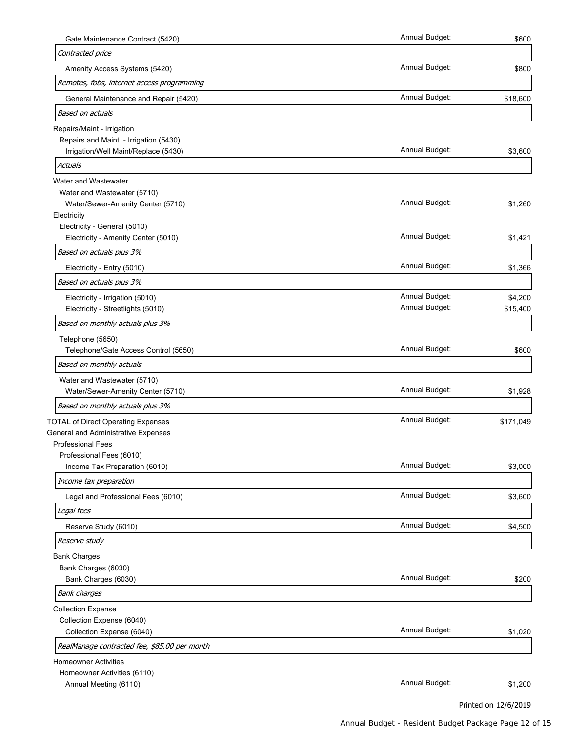| Gate Maintenance Contract (5420)                          | Annual Budget: | \$600     |
|-----------------------------------------------------------|----------------|-----------|
| Contracted price                                          |                |           |
| Amenity Access Systems (5420)                             | Annual Budget: | \$800     |
| Remotes, fobs, internet access programming                |                |           |
| General Maintenance and Repair (5420)                     | Annual Budget: | \$18,600  |
| Based on actuals                                          |                |           |
| Repairs/Maint - Irrigation                                |                |           |
| Repairs and Maint. - Irrigation (5430)                    |                |           |
| Irrigation/Well Maint/Replace (5430)                      | Annual Budget: | \$3,600   |
| Actuals                                                   |                |           |
| Water and Wastewater                                      |                |           |
| Water and Wastewater (5710)                               | Annual Budget: |           |
| Water/Sewer-Amenity Center (5710)<br>Electricity          |                | \$1,260   |
| Electricity - General (5010)                              |                |           |
| Electricity - Amenity Center (5010)                       | Annual Budget: | \$1,421   |
| Based on actuals plus 3%                                  |                |           |
| Electricity - Entry (5010)                                | Annual Budget: | \$1,366   |
| Based on actuals plus 3%                                  |                |           |
| Electricity - Irrigation (5010)                           | Annual Budget: | \$4,200   |
| Electricity - Streetlights (5010)                         | Annual Budget: | \$15,400  |
| Based on monthly actuals plus 3%                          |                |           |
| Telephone (5650)                                          |                |           |
| Telephone/Gate Access Control (5650)                      | Annual Budget: | \$600     |
| Based on monthly actuals                                  |                |           |
| Water and Wastewater (5710)                               |                |           |
| Water/Sewer-Amenity Center (5710)                         | Annual Budget: | \$1,928   |
| Based on monthly actuals plus 3%                          |                |           |
| <b>TOTAL of Direct Operating Expenses</b>                 | Annual Budget: | \$171,049 |
| General and Administrative Expenses                       |                |           |
| <b>Professional Fees</b>                                  |                |           |
| Professional Fees (6010)<br>Income Tax Preparation (6010) | Annual Budget: | \$3,000   |
| Income tax preparation                                    |                |           |
|                                                           | Annual Budget: |           |
| Legal and Professional Fees (6010)                        |                | \$3,600   |
| Legal fees                                                |                |           |
| Reserve Study (6010)                                      | Annual Budget: | \$4,500   |
| Reserve study                                             |                |           |
| <b>Bank Charges</b>                                       |                |           |
| Bank Charges (6030)<br>Bank Charges (6030)                | Annual Budget: | \$200     |
| <b>Bank charges</b>                                       |                |           |
| <b>Collection Expense</b>                                 |                |           |
| Collection Expense (6040)                                 |                |           |
| Collection Expense (6040)                                 | Annual Budget: | \$1,020   |
| RealManage contracted fee, \$85.00 per month              |                |           |
| <b>Homeowner Activities</b>                               |                |           |
|                                                           |                |           |
| Homeowner Activities (6110)                               | Annual Budget: |           |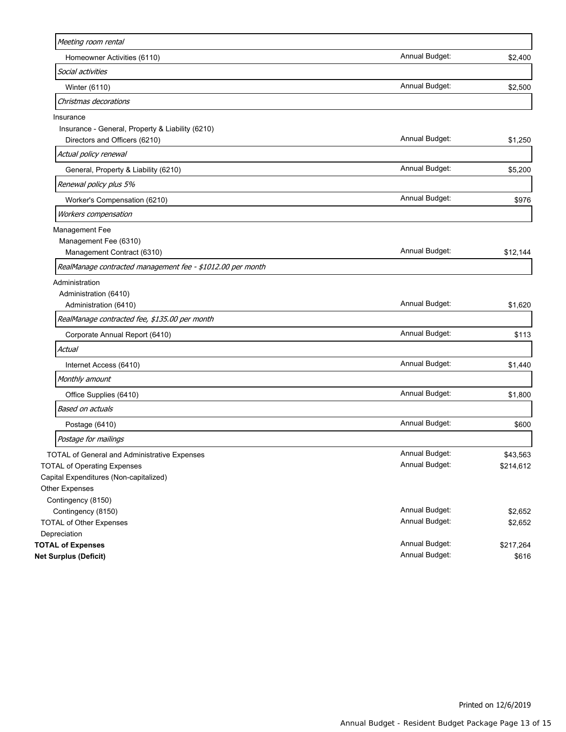| Meeting room rental                                        |                |           |
|------------------------------------------------------------|----------------|-----------|
| Homeowner Activities (6110)                                | Annual Budget: | \$2,400   |
| Social activities                                          |                |           |
| Winter (6110)                                              | Annual Budget: | \$2,500   |
| Christmas decorations                                      |                |           |
| Insurance                                                  |                |           |
| Insurance - General, Property & Liability (6210)           |                |           |
| Directors and Officers (6210)                              | Annual Budget: | \$1,250   |
| Actual policy renewal                                      |                |           |
| General, Property & Liability (6210)                       | Annual Budget: | \$5,200   |
| Renewal policy plus 5%                                     |                |           |
| Worker's Compensation (6210)                               | Annual Budget: | \$976     |
| Workers compensation                                       |                |           |
| Management Fee                                             |                |           |
| Management Fee (6310)                                      |                |           |
| Management Contract (6310)                                 | Annual Budget: | \$12,144  |
| RealManage contracted management fee - \$1012.00 per month |                |           |
| Administration                                             |                |           |
| Administration (6410)                                      |                |           |
| Administration (6410)                                      | Annual Budget: | \$1,620   |
| RealManage contracted fee, \$135.00 per month              |                |           |
| Corporate Annual Report (6410)                             | Annual Budget: | \$113     |
| Actual                                                     |                |           |
| Internet Access (6410)                                     | Annual Budget: | \$1,440   |
| Monthly amount                                             |                |           |
| Office Supplies (6410)                                     | Annual Budget: | \$1,800   |
| Based on actuals                                           |                |           |
| Postage (6410)                                             | Annual Budget: | \$600     |
| Postage for mailings                                       |                |           |
| TOTAL of General and Administrative Expenses               | Annual Budget: | \$43,563  |
| <b>TOTAL of Operating Expenses</b>                         | Annual Budget: | \$214,612 |
| Capital Expenditures (Non-capitalized)                     |                |           |
| Other Expenses                                             |                |           |
| Contingency (8150)                                         |                |           |
| Contingency (8150)                                         | Annual Budget: | \$2,652   |
| <b>TOTAL of Other Expenses</b>                             | Annual Budget: | \$2,652   |
| Depreciation                                               |                |           |
| <b>TOTAL of Expenses</b>                                   | Annual Budget: | \$217,264 |
| Net Surplus (Deficit)                                      | Annual Budget: | \$616     |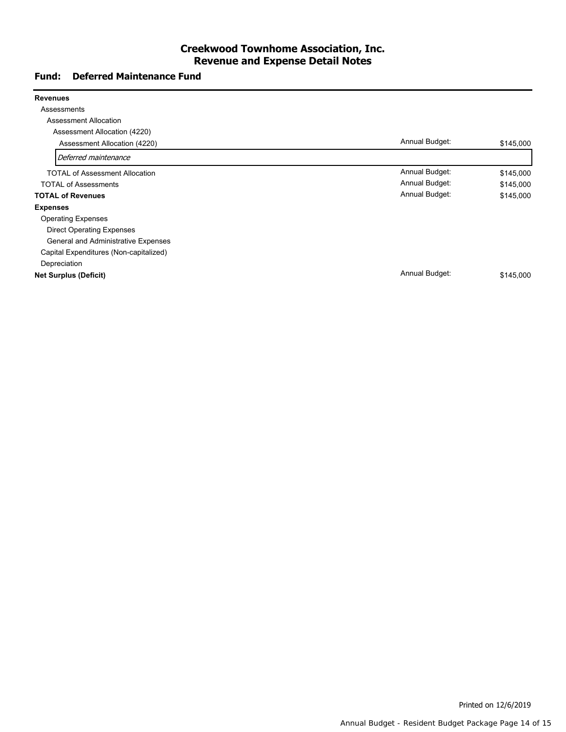#### **Creekwood Townhome Association, Inc. Revenue and Expense Detail Notes**

#### **Fund: Deferred Maintenance Fund**

| <b>Revenues</b>                        |                |           |
|----------------------------------------|----------------|-----------|
| Assessments                            |                |           |
| <b>Assessment Allocation</b>           |                |           |
| Assessment Allocation (4220)           |                |           |
| Assessment Allocation (4220)           | Annual Budget: | \$145,000 |
| Deferred maintenance                   |                |           |
| <b>TOTAL of Assessment Allocation</b>  | Annual Budget: | \$145,000 |
| <b>TOTAL of Assessments</b>            | Annual Budget: | \$145,000 |
| <b>TOTAL of Revenues</b>               | Annual Budget: | \$145,000 |
| <b>Expenses</b>                        |                |           |
| <b>Operating Expenses</b>              |                |           |
| <b>Direct Operating Expenses</b>       |                |           |
| General and Administrative Expenses    |                |           |
| Capital Expenditures (Non-capitalized) |                |           |
| Depreciation                           |                |           |
| <b>Net Surplus (Deficit)</b>           | Annual Budget: | \$145,000 |